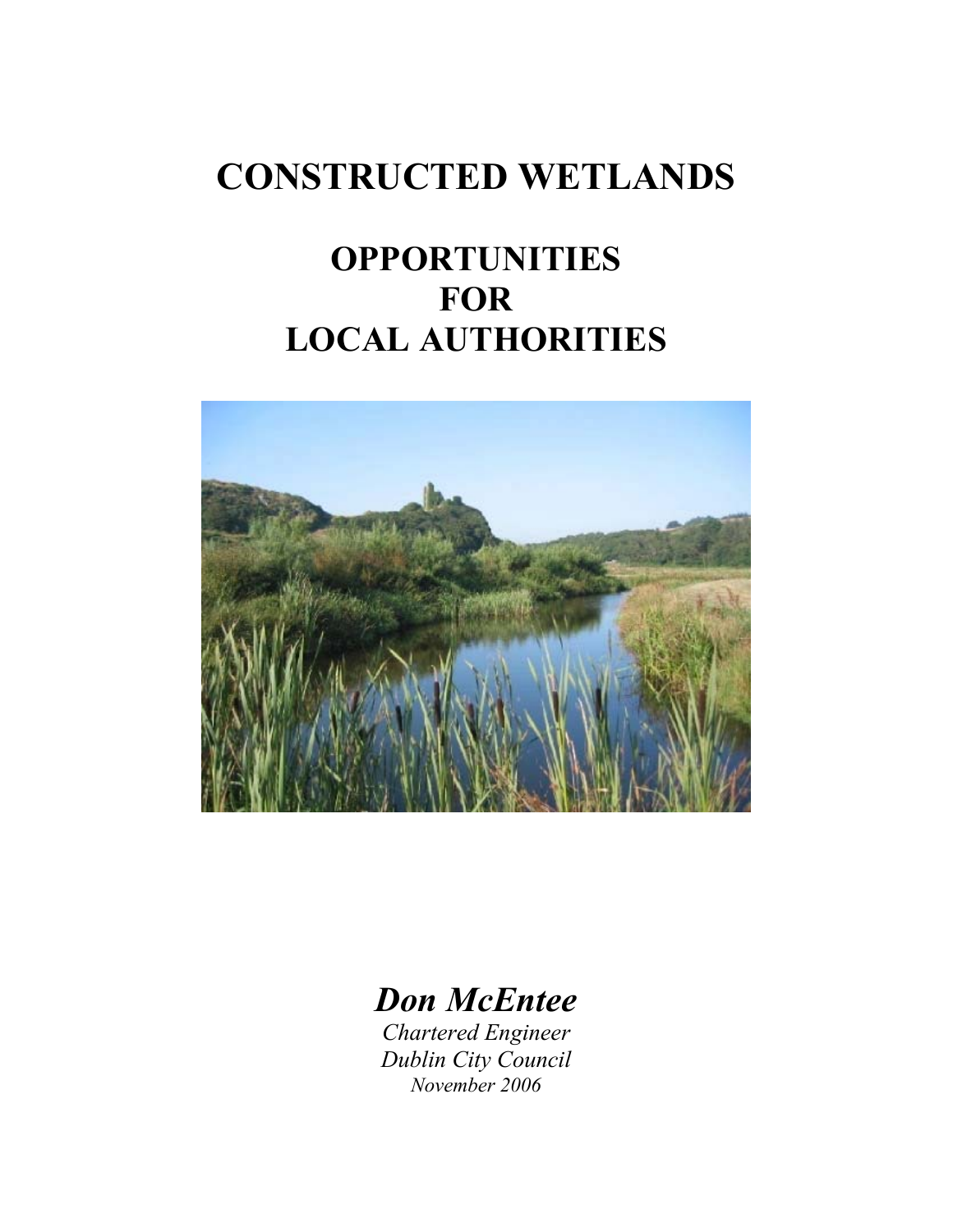# **CONSTRUCTED WETLANDS**

## **OPPORTUNITIES FOR LOCAL AUTHORITIES**



### *Don McEntee*

*Chartered Engineer Dublin City Council November 2006*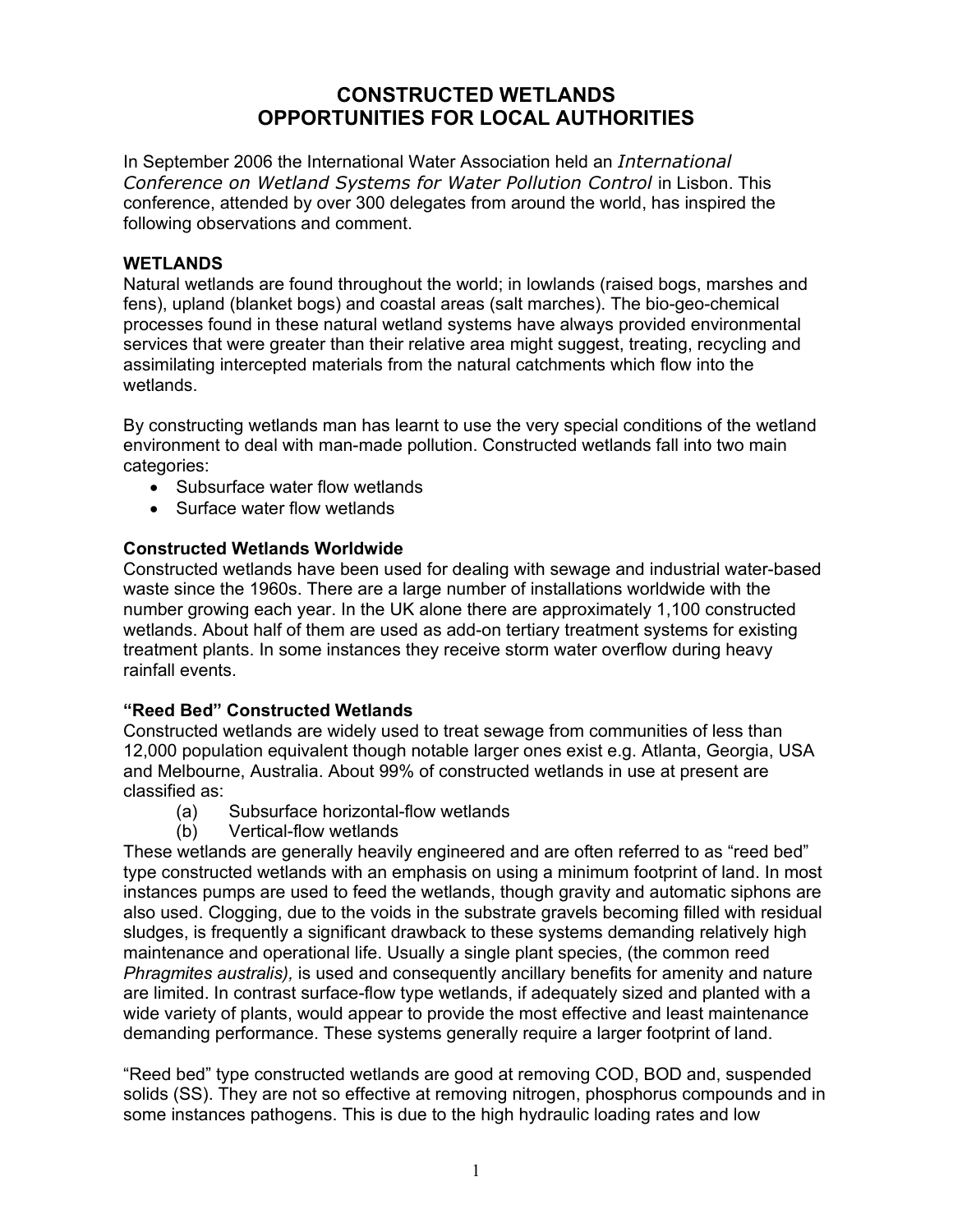### **CONSTRUCTED WETLANDS OPPORTUNITIES FOR LOCAL AUTHORITIES**

In September 2006 the International Water Association held an *International Conference on Wetland Systems for Water Pollution Control* in Lisbon. This conference, attended by over 300 delegates from around the world, has inspired the following observations and comment.

#### **WETLANDS**

Natural wetlands are found throughout the world; in lowlands (raised bogs, marshes and fens), upland (blanket bogs) and coastal areas (salt marches). The bio-geo-chemical processes found in these natural wetland systems have always provided environmental services that were greater than their relative area might suggest, treating, recycling and assimilating intercepted materials from the natural catchments which flow into the wetlands.

By constructing wetlands man has learnt to use the very special conditions of the wetland environment to deal with man-made pollution. Constructed wetlands fall into two main categories:

- Subsurface water flow wetlands
- Surface water flow wetlands

#### **Constructed Wetlands Worldwide**

Constructed wetlands have been used for dealing with sewage and industrial water-based waste since the 1960s. There are a large number of installations worldwide with the number growing each year. In the UK alone there are approximately 1,100 constructed wetlands. About half of them are used as add-on tertiary treatment systems for existing treatment plants. In some instances they receive storm water overflow during heavy rainfall events.

#### **"Reed Bed" Constructed Wetlands**

Constructed wetlands are widely used to treat sewage from communities of less than 12,000 population equivalent though notable larger ones exist e.g. Atlanta, Georgia, USA and Melbourne, Australia. About 99% of constructed wetlands in use at present are classified as:

- (a) Subsurface horizontal-flow wetlands
- (b) Vertical-flow wetlands

These wetlands are generally heavily engineered and are often referred to as "reed bed" type constructed wetlands with an emphasis on using a minimum footprint of land. In most instances pumps are used to feed the wetlands, though gravity and automatic siphons are also used. Clogging, due to the voids in the substrate gravels becoming filled with residual sludges, is frequently a significant drawback to these systems demanding relatively high maintenance and operational life. Usually a single plant species, (the common reed *Phragmites australis),* is used and consequently ancillary benefits for amenity and nature are limited. In contrast surface-flow type wetlands, if adequately sized and planted with a wide variety of plants, would appear to provide the most effective and least maintenance demanding performance. These systems generally require a larger footprint of land.

"Reed bed" type constructed wetlands are good at removing COD, BOD and, suspended solids (SS). They are not so effective at removing nitrogen, phosphorus compounds and in some instances pathogens. This is due to the high hydraulic loading rates and low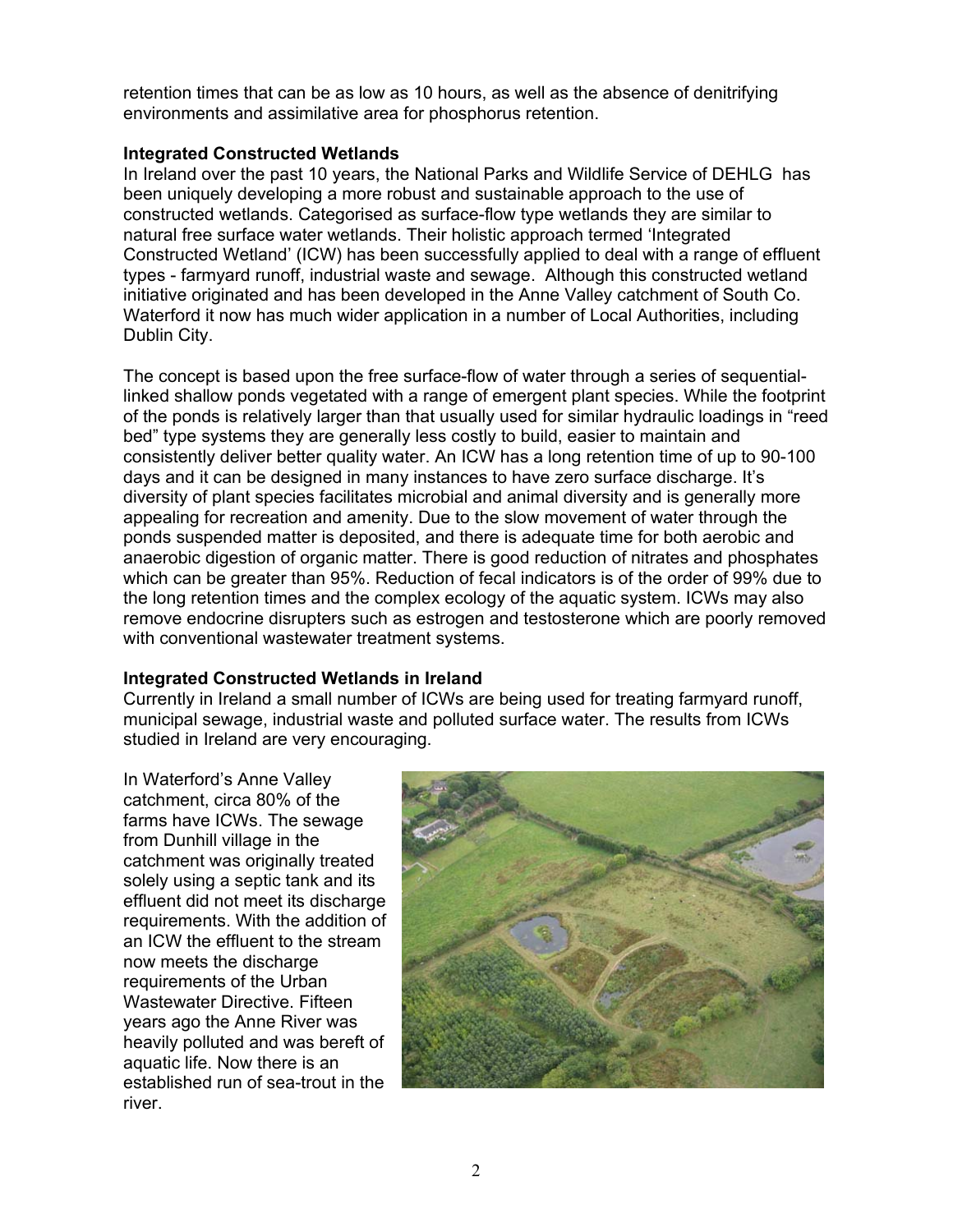retention times that can be as low as 10 hours, as well as the absence of denitrifying environments and assimilative area for phosphorus retention.

#### **Integrated Constructed Wetlands**

In Ireland over the past 10 years, the National Parks and Wildlife Service of DEHLG has been uniquely developing a more robust and sustainable approach to the use of constructed wetlands. Categorised as surface-flow type wetlands they are similar to natural free surface water wetlands. Their holistic approach termed 'Integrated Constructed Wetland' (ICW) has been successfully applied to deal with a range of effluent types - farmyard runoff, industrial waste and sewage. Although this constructed wetland initiative originated and has been developed in the Anne Valley catchment of South Co. Waterford it now has much wider application in a number of Local Authorities, including Dublin City.

The concept is based upon the free surface-flow of water through a series of sequentiallinked shallow ponds vegetated with a range of emergent plant species. While the footprint of the ponds is relatively larger than that usually used for similar hydraulic loadings in "reed bed" type systems they are generally less costly to build, easier to maintain and consistently deliver better quality water. An ICW has a long retention time of up to 90-100 days and it can be designed in many instances to have zero surface discharge. It's diversity of plant species facilitates microbial and animal diversity and is generally more appealing for recreation and amenity. Due to the slow movement of water through the ponds suspended matter is deposited, and there is adequate time for both aerobic and anaerobic digestion of organic matter. There is good reduction of nitrates and phosphates which can be greater than 95%. Reduction of fecal indicators is of the order of 99% due to the long retention times and the complex ecology of the aquatic system. ICWs may also remove endocrine disrupters such as estrogen and testosterone which are poorly removed with conventional wastewater treatment systems.

#### **Integrated Constructed Wetlands in Ireland**

Currently in Ireland a small number of ICWs are being used for treating farmyard runoff, municipal sewage, industrial waste and polluted surface water. The results from ICWs studied in Ireland are very encouraging.

In Waterford's Anne Valley catchment, circa 80% of the farms have ICWs. The sewage from Dunhill village in the catchment was originally treated solely using a septic tank and its effluent did not meet its discharge requirements. With the addition of an ICW the effluent to the stream now meets the discharge requirements of the Urban Wastewater Directive. Fifteen years ago the Anne River was heavily polluted and was bereft of aquatic life. Now there is an established run of sea-trout in the river.

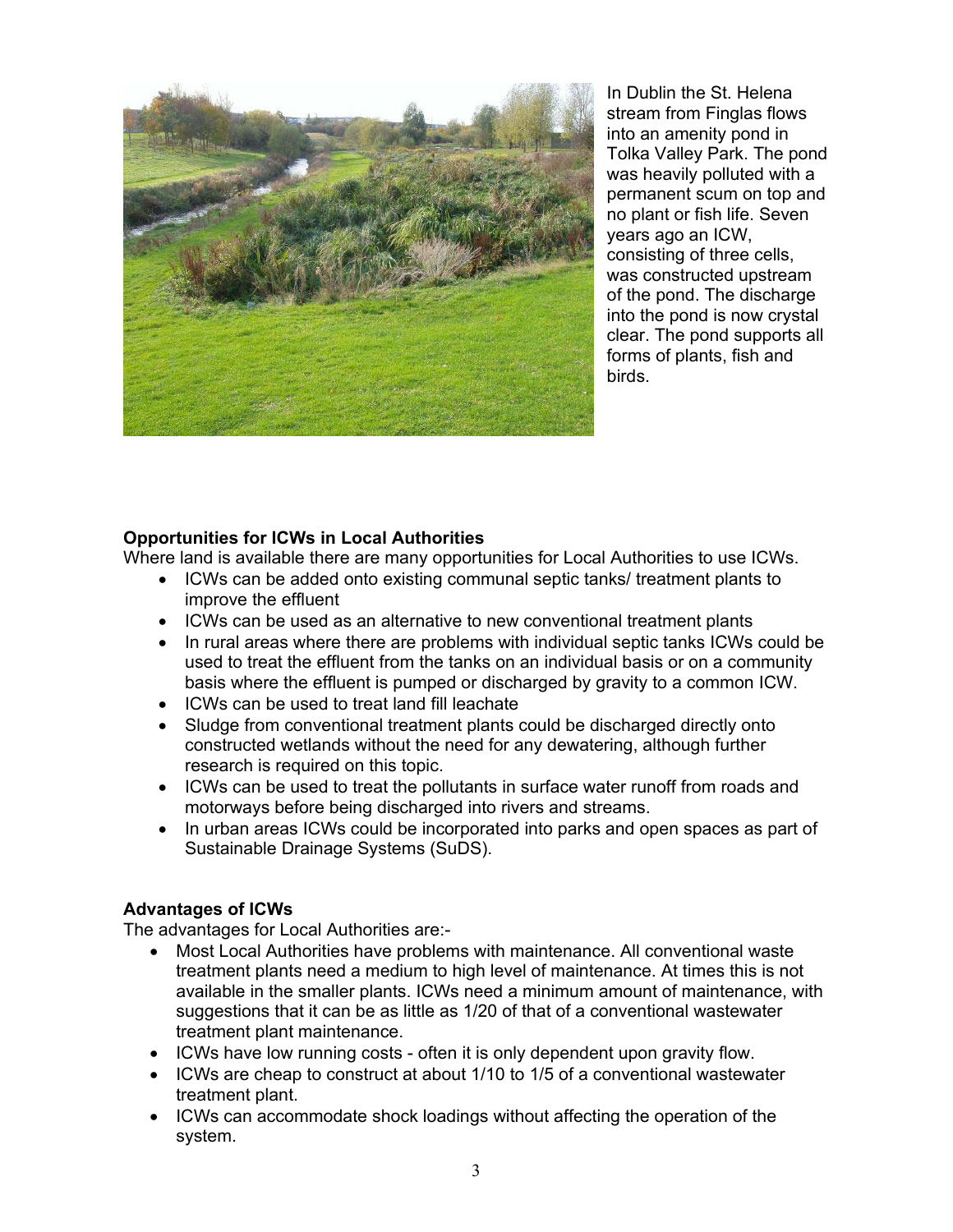

In Dublin the St. Helena stream from Finglas flows into an amenity pond in Tolka Valley Park. The pond was heavily polluted with a permanent scum on top and no plant or fish life. Seven years ago an ICW, consisting of three cells, was constructed upstream of the pond. The discharge into the pond is now crystal clear. The pond supports all forms of plants, fish and birds.

#### **Opportunities for ICWs in Local Authorities**

Where land is available there are many opportunities for Local Authorities to use ICWs.

- ICWs can be added onto existing communal septic tanks/ treatment plants to improve the effluent
- ICWs can be used as an alternative to new conventional treatment plants
- In rural areas where there are problems with individual septic tanks ICWs could be used to treat the effluent from the tanks on an individual basis or on a community basis where the effluent is pumped or discharged by gravity to a common ICW.
- ICWs can be used to treat land fill leachate
- Sludge from conventional treatment plants could be discharged directly onto constructed wetlands without the need for any dewatering, although further research is required on this topic.
- ICWs can be used to treat the pollutants in surface water runoff from roads and motorways before being discharged into rivers and streams.
- In urban areas ICWs could be incorporated into parks and open spaces as part of Sustainable Drainage Systems (SuDS).

#### **Advantages of ICWs**

The advantages for Local Authorities are:-

- Most Local Authorities have problems with maintenance. All conventional waste treatment plants need a medium to high level of maintenance. At times this is not available in the smaller plants. ICWs need a minimum amount of maintenance, with suggestions that it can be as little as 1/20 of that of a conventional wastewater treatment plant maintenance.
- ICWs have low running costs often it is only dependent upon gravity flow.
- ICWs are cheap to construct at about 1/10 to 1/5 of a conventional wastewater treatment plant.
- ICWs can accommodate shock loadings without affecting the operation of the system.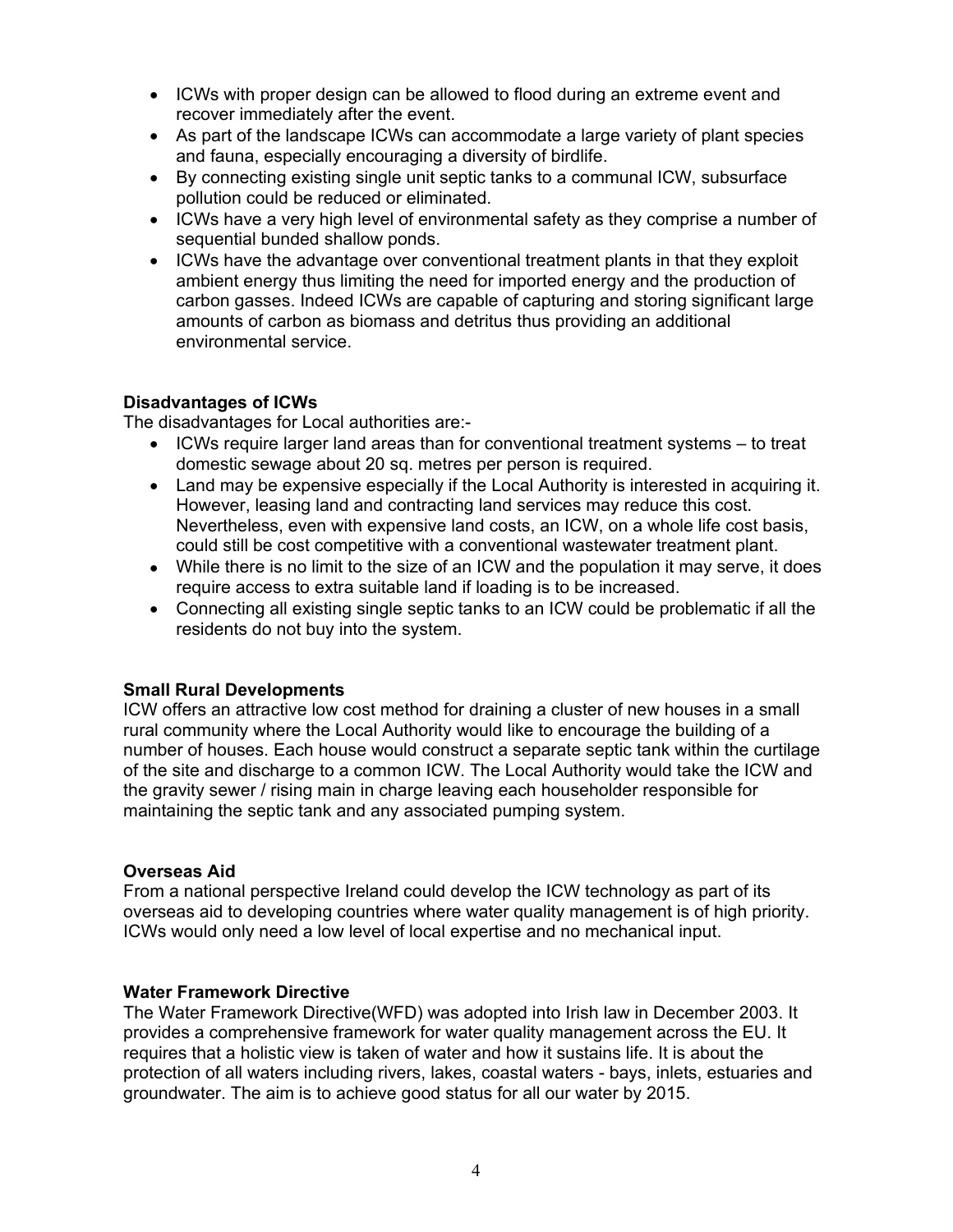- ICWs with proper design can be allowed to flood during an extreme event and recover immediately after the event.
- As part of the landscape ICWs can accommodate a large variety of plant species and fauna, especially encouraging a diversity of birdlife.
- By connecting existing single unit septic tanks to a communal ICW, subsurface pollution could be reduced or eliminated.
- ICWs have a very high level of environmental safety as they comprise a number of sequential bunded shallow ponds.
- ICWs have the advantage over conventional treatment plants in that they exploit ambient energy thus limiting the need for imported energy and the production of carbon gasses. Indeed ICWs are capable of capturing and storing significant large amounts of carbon as biomass and detritus thus providing an additional environmental service.

#### **Disadvantages of ICWs**

The disadvantages for Local authorities are:-

- ICWs require larger land areas than for conventional treatment systems to treat domestic sewage about 20 sq. metres per person is required.
- Land may be expensive especially if the Local Authority is interested in acquiring it. However, leasing land and contracting land services may reduce this cost. Nevertheless, even with expensive land costs, an ICW, on a whole life cost basis, could still be cost competitive with a conventional wastewater treatment plant.
- While there is no limit to the size of an ICW and the population it may serve, it does require access to extra suitable land if loading is to be increased.
- Connecting all existing single septic tanks to an ICW could be problematic if all the residents do not buy into the system.

#### **Small Rural Developments**

ICW offers an attractive low cost method for draining a cluster of new houses in a small rural community where the Local Authority would like to encourage the building of a number of houses. Each house would construct a separate septic tank within the curtilage of the site and discharge to a common ICW. The Local Authority would take the ICW and the gravity sewer / rising main in charge leaving each householder responsible for maintaining the septic tank and any associated pumping system.

#### **Overseas Aid**

From a national perspective Ireland could develop the ICW technology as part of its overseas aid to developing countries where water quality management is of high priority. ICWs would only need a low level of local expertise and no mechanical input.

#### **Water Framework Directive**

The Water Framework Directive(WFD) was adopted into Irish law in December 2003. It provides a comprehensive framework for water quality management across the EU. It requires that a holistic view is taken of water and how it sustains life. It is about the protection of all waters including rivers, lakes, coastal waters - bays, inlets, estuaries and groundwater. The aim is to achieve good status for all our water by 2015.